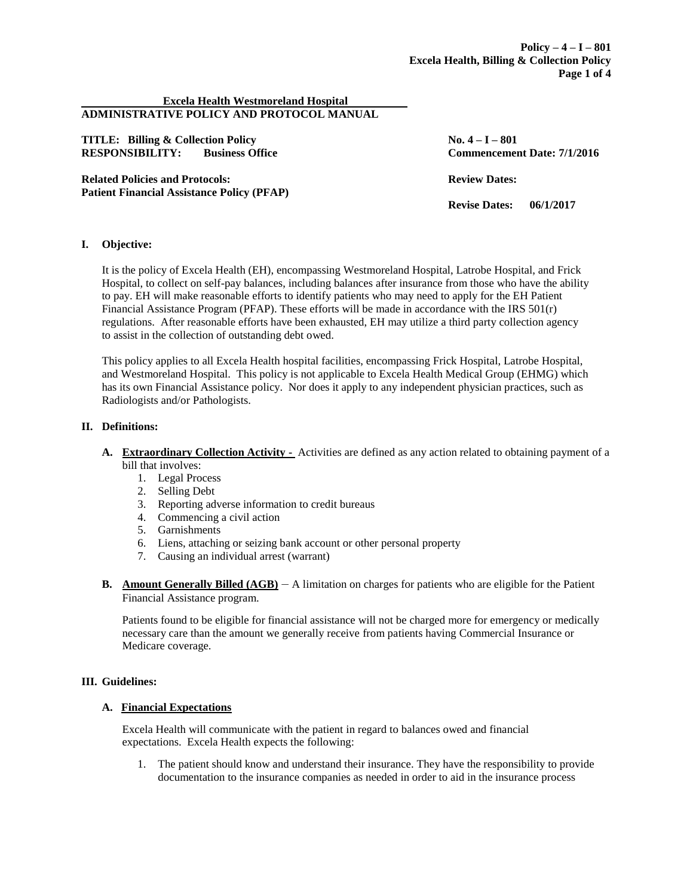#### **Excela Health Westmoreland Hospital ADMINISTRATIVE POLICY AND PROTOCOL MANUAL**

**TITLE: Billing & Collection Policy No. 4 – I – 801 RESPONSIBILITY: Business Office Commencement Date: 7/1/2016**

**Related Policies and Protocols: Review Dates: Patient Financial Assistance Policy (PFAP)**

**Revise Dates: 06/1/2017**

## **I. Objective:**

It is the policy of Excela Health (EH), encompassing Westmoreland Hospital, Latrobe Hospital, and Frick Hospital, to collect on self-pay balances, including balances after insurance from those who have the ability to pay. EH will make reasonable efforts to identify patients who may need to apply for the EH Patient Financial Assistance Program (PFAP). These efforts will be made in accordance with the IRS  $501(r)$ regulations. After reasonable efforts have been exhausted, EH may utilize a third party collection agency to assist in the collection of outstanding debt owed.

This policy applies to all Excela Health hospital facilities, encompassing Frick Hospital, Latrobe Hospital, and Westmoreland Hospital. This policy is not applicable to Excela Health Medical Group (EHMG) which has its own Financial Assistance policy. Nor does it apply to any independent physician practices, such as Radiologists and/or Pathologists.

### **II. Definitions:**

- **A. Extraordinary Collection Activity -** Activities are defined as any action related to obtaining payment of a bill that involves:
	- 1. Legal Process
	- 2. Selling Debt
	- 3. Reporting adverse information to credit bureaus
	- 4. Commencing a civil action
	- 5. Garnishments
	- 6. Liens, attaching or seizing bank account or other personal property
	- 7. Causing an individual arrest (warrant)
- **B. Amount Generally Billed (AGB)** A limitation on charges for patients who are eligible for the Patient Financial Assistance program.

Patients found to be eligible for financial assistance will not be charged more for emergency or medically necessary care than the amount we generally receive from patients having Commercial Insurance or Medicare coverage.

#### **III. Guidelines:**

#### **A. Financial Expectations**

Excela Health will communicate with the patient in regard to balances owed and financial expectations. Excela Health expects the following:

1. The patient should know and understand their insurance. They have the responsibility to provide documentation to the insurance companies as needed in order to aid in the insurance process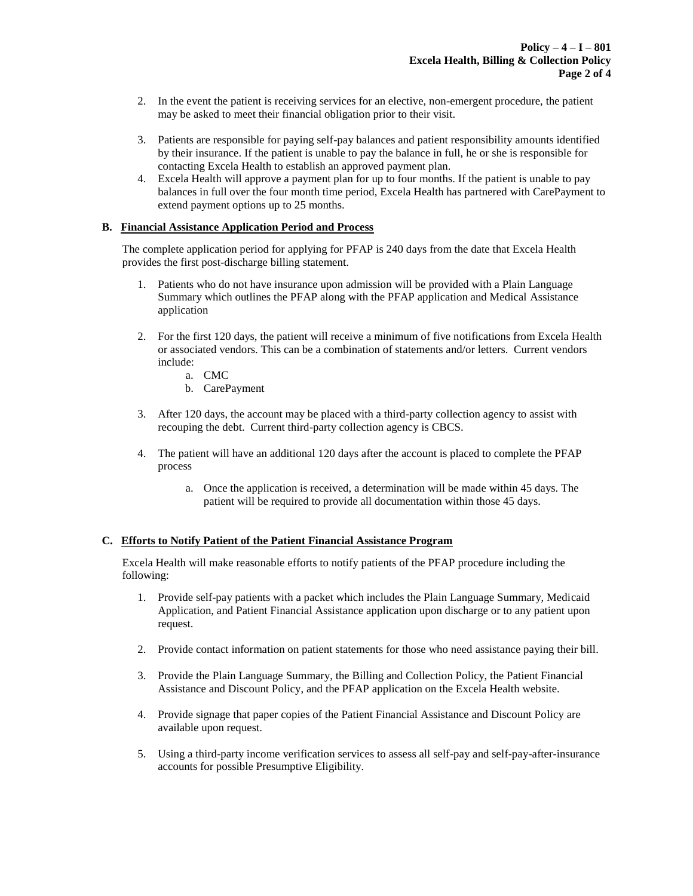- 2. In the event the patient is receiving services for an elective, non-emergent procedure, the patient may be asked to meet their financial obligation prior to their visit.
- 3. Patients are responsible for paying self-pay balances and patient responsibility amounts identified by their insurance. If the patient is unable to pay the balance in full, he or she is responsible for contacting Excela Health to establish an approved payment plan.
- 4. Excela Health will approve a payment plan for up to four months. If the patient is unable to pay balances in full over the four month time period, Excela Health has partnered with CarePayment to extend payment options up to 25 months.

### **B. Financial Assistance Application Period and Process**

The complete application period for applying for PFAP is 240 days from the date that Excela Health provides the first post-discharge billing statement.

- 1. Patients who do not have insurance upon admission will be provided with a Plain Language Summary which outlines the PFAP along with the PFAP application and Medical Assistance application
- 2. For the first 120 days, the patient will receive a minimum of five notifications from Excela Health or associated vendors. This can be a combination of statements and/or letters. Current vendors include:
	- a. CMC
	- b. CarePayment
- 3. After 120 days, the account may be placed with a third-party collection agency to assist with recouping the debt. Current third-party collection agency is CBCS.
- 4. The patient will have an additional 120 days after the account is placed to complete the PFAP process
	- a. Once the application is received, a determination will be made within 45 days. The patient will be required to provide all documentation within those 45 days.

### **C. Efforts to Notify Patient of the Patient Financial Assistance Program**

Excela Health will make reasonable efforts to notify patients of the PFAP procedure including the following:

- 1. Provide self-pay patients with a packet which includes the Plain Language Summary, Medicaid Application, and Patient Financial Assistance application upon discharge or to any patient upon request.
- 2. Provide contact information on patient statements for those who need assistance paying their bill.
- 3. Provide the Plain Language Summary, the Billing and Collection Policy, the Patient Financial Assistance and Discount Policy, and the PFAP application on the Excela Health website.
- 4. Provide signage that paper copies of the Patient Financial Assistance and Discount Policy are available upon request.
- 5. Using a third-party income verification services to assess all self-pay and self-pay-after-insurance accounts for possible Presumptive Eligibility.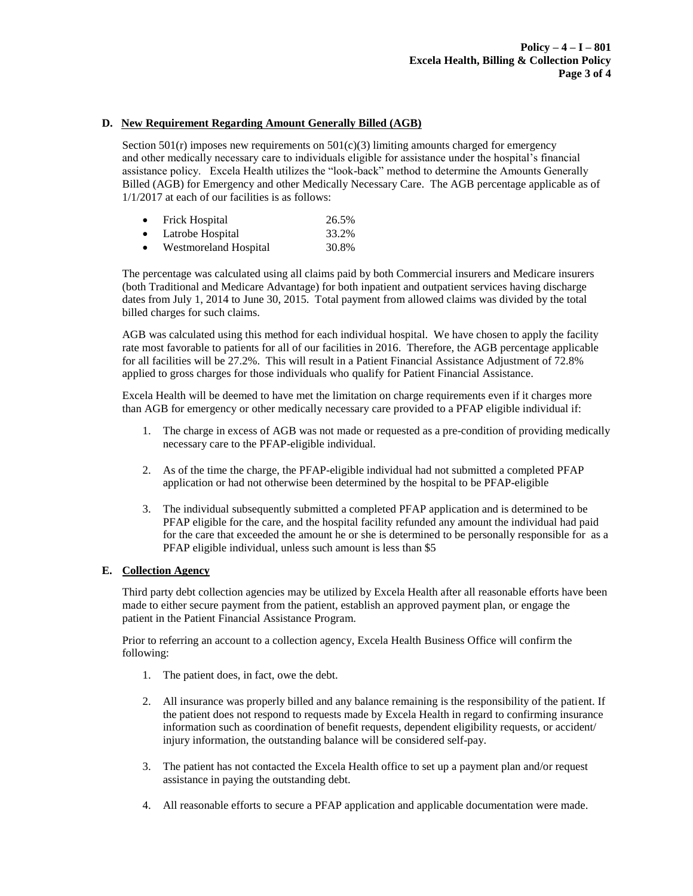## **D. New Requirement Regarding Amount Generally Billed (AGB)**

Section  $501(r)$  imposes new requirements on  $501(c)(3)$  limiting amounts charged for emergency and other medically necessary care to individuals eligible for assistance under the hospital's financial assistance policy. Excela Health utilizes the "look-back" method to determine the Amounts Generally Billed (AGB) for Emergency and other Medically Necessary Care. The AGB percentage applicable as of 1/1/2017 at each of our facilities is as follows:

|  | Frick Hospital | 26.5% |
|--|----------------|-------|
|--|----------------|-------|

- Latrobe Hospital 33.2%
- Westmoreland Hospital 30.8%

The percentage was calculated using all claims paid by both Commercial insurers and Medicare insurers (both Traditional and Medicare Advantage) for both inpatient and outpatient services having discharge dates from July 1, 2014 to June 30, 2015. Total payment from allowed claims was divided by the total billed charges for such claims.

AGB was calculated using this method for each individual hospital. We have chosen to apply the facility rate most favorable to patients for all of our facilities in 2016. Therefore, the AGB percentage applicable for all facilities will be 27.2%. This will result in a Patient Financial Assistance Adjustment of 72.8% applied to gross charges for those individuals who qualify for Patient Financial Assistance.

Excela Health will be deemed to have met the limitation on charge requirements even if it charges more than AGB for emergency or other medically necessary care provided to a PFAP eligible individual if:

- 1. The charge in excess of AGB was not made or requested as a pre-condition of providing medically necessary care to the PFAP-eligible individual.
- 2. As of the time the charge, the PFAP-eligible individual had not submitted a completed PFAP application or had not otherwise been determined by the hospital to be PFAP-eligible
- 3. The individual subsequently submitted a completed PFAP application and is determined to be PFAP eligible for the care, and the hospital facility refunded any amount the individual had paid for the care that exceeded the amount he or she is determined to be personally responsible for as a PFAP eligible individual, unless such amount is less than \$5

#### **E. Collection Agency**

Third party debt collection agencies may be utilized by Excela Health after all reasonable efforts have been made to either secure payment from the patient, establish an approved payment plan, or engage the patient in the Patient Financial Assistance Program.

Prior to referring an account to a collection agency, Excela Health Business Office will confirm the following:

- 1. The patient does, in fact, owe the debt.
- 2. All insurance was properly billed and any balance remaining is the responsibility of the patient. If the patient does not respond to requests made by Excela Health in regard to confirming insurance information such as coordination of benefit requests, dependent eligibility requests, or accident/ injury information, the outstanding balance will be considered self-pay.
- 3. The patient has not contacted the Excela Health office to set up a payment plan and/or request assistance in paying the outstanding debt.
- 4. All reasonable efforts to secure a PFAP application and applicable documentation were made.